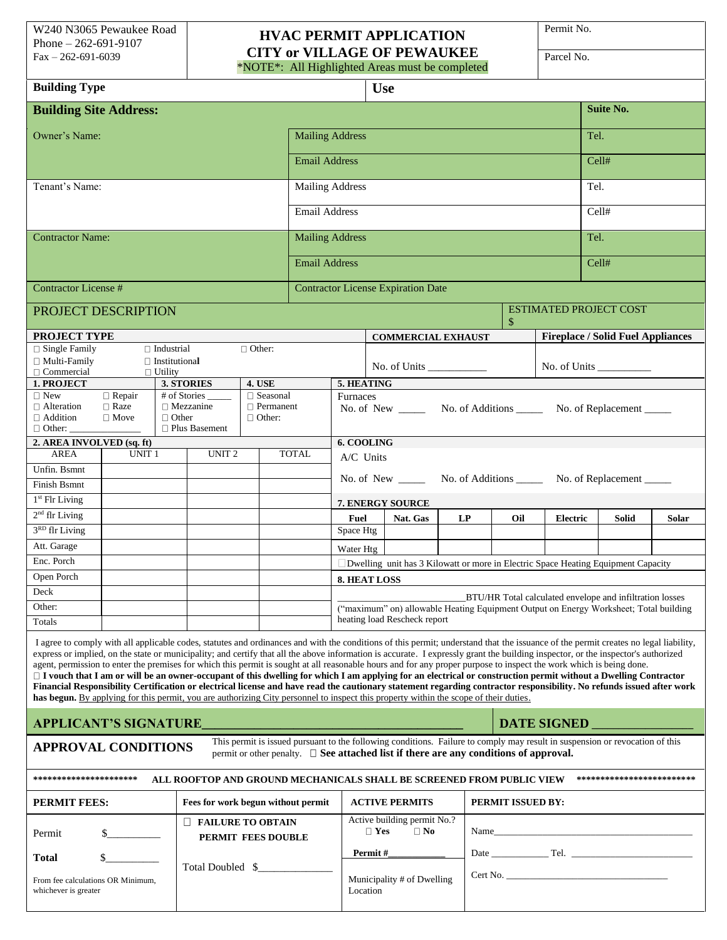## **HVAC PERMIT APPLICATION CITY or VILLAGE OF PEWAUKEE**

\*NOTE\*: All Highlighted Areas must be completed

Permit No.

| Parcel No |
|-----------|
|-----------|

| <b>Building Type</b>                                                                                                                                                                                                                                                                                                                                                                                                                                                                                                                                                                                                                                                                                                                                                                                                                                                                                                                                                                                                                  |                                                                |                                           |                                                |                                   |                                                                                                                                                   |                                                                                                                              |                                           | <b>Use</b>                                                                                                                                                                                                                 |                   |  |                 |                                          |                  |       |       |  |  |  |
|---------------------------------------------------------------------------------------------------------------------------------------------------------------------------------------------------------------------------------------------------------------------------------------------------------------------------------------------------------------------------------------------------------------------------------------------------------------------------------------------------------------------------------------------------------------------------------------------------------------------------------------------------------------------------------------------------------------------------------------------------------------------------------------------------------------------------------------------------------------------------------------------------------------------------------------------------------------------------------------------------------------------------------------|----------------------------------------------------------------|-------------------------------------------|------------------------------------------------|-----------------------------------|---------------------------------------------------------------------------------------------------------------------------------------------------|------------------------------------------------------------------------------------------------------------------------------|-------------------------------------------|----------------------------------------------------------------------------------------------------------------------------------------------------------------------------------------------------------------------------|-------------------|--|-----------------|------------------------------------------|------------------|-------|-------|--|--|--|
| <b>Building Site Address:</b>                                                                                                                                                                                                                                                                                                                                                                                                                                                                                                                                                                                                                                                                                                                                                                                                                                                                                                                                                                                                         |                                                                |                                           |                                                |                                   |                                                                                                                                                   |                                                                                                                              |                                           |                                                                                                                                                                                                                            |                   |  |                 |                                          | <b>Suite No.</b> |       |       |  |  |  |
| Owner's Name:                                                                                                                                                                                                                                                                                                                                                                                                                                                                                                                                                                                                                                                                                                                                                                                                                                                                                                                                                                                                                         |                                                                |                                           |                                                |                                   |                                                                                                                                                   |                                                                                                                              | <b>Mailing Address</b>                    |                                                                                                                                                                                                                            |                   |  |                 |                                          |                  |       | Tel.  |  |  |  |
|                                                                                                                                                                                                                                                                                                                                                                                                                                                                                                                                                                                                                                                                                                                                                                                                                                                                                                                                                                                                                                       |                                                                |                                           |                                                |                                   |                                                                                                                                                   | <b>Email Address</b>                                                                                                         |                                           |                                                                                                                                                                                                                            |                   |  |                 |                                          |                  |       | Cell# |  |  |  |
| Tenant's Name:<br><b>Mailing Address</b>                                                                                                                                                                                                                                                                                                                                                                                                                                                                                                                                                                                                                                                                                                                                                                                                                                                                                                                                                                                              |                                                                |                                           |                                                |                                   |                                                                                                                                                   |                                                                                                                              |                                           |                                                                                                                                                                                                                            |                   |  |                 |                                          | Tel.             |       |       |  |  |  |
| <b>Email Address</b>                                                                                                                                                                                                                                                                                                                                                                                                                                                                                                                                                                                                                                                                                                                                                                                                                                                                                                                                                                                                                  |                                                                |                                           |                                                |                                   |                                                                                                                                                   |                                                                                                                              |                                           |                                                                                                                                                                                                                            |                   |  |                 |                                          |                  |       | Cell# |  |  |  |
| <b>Contractor Name:</b>                                                                                                                                                                                                                                                                                                                                                                                                                                                                                                                                                                                                                                                                                                                                                                                                                                                                                                                                                                                                               |                                                                |                                           |                                                |                                   |                                                                                                                                                   |                                                                                                                              | <b>Mailing Address</b>                    |                                                                                                                                                                                                                            |                   |  |                 |                                          |                  | Tel.  |       |  |  |  |
| <b>Email Address</b>                                                                                                                                                                                                                                                                                                                                                                                                                                                                                                                                                                                                                                                                                                                                                                                                                                                                                                                                                                                                                  |                                                                |                                           |                                                |                                   |                                                                                                                                                   |                                                                                                                              |                                           |                                                                                                                                                                                                                            |                   |  |                 |                                          | Cell#            |       |       |  |  |  |
| <b>Contractor License #</b>                                                                                                                                                                                                                                                                                                                                                                                                                                                                                                                                                                                                                                                                                                                                                                                                                                                                                                                                                                                                           |                                                                |                                           |                                                |                                   |                                                                                                                                                   |                                                                                                                              | <b>Contractor License Expiration Date</b> |                                                                                                                                                                                                                            |                   |  |                 |                                          |                  |       |       |  |  |  |
| PROJECT DESCRIPTION                                                                                                                                                                                                                                                                                                                                                                                                                                                                                                                                                                                                                                                                                                                                                                                                                                                                                                                                                                                                                   |                                                                |                                           |                                                |                                   |                                                                                                                                                   |                                                                                                                              | <b>ESTIMATED PROJECT COST</b><br>\$       |                                                                                                                                                                                                                            |                   |  |                 |                                          |                  |       |       |  |  |  |
| <b>PROJECT TYPE</b>                                                                                                                                                                                                                                                                                                                                                                                                                                                                                                                                                                                                                                                                                                                                                                                                                                                                                                                                                                                                                   |                                                                |                                           |                                                |                                   |                                                                                                                                                   |                                                                                                                              |                                           | <b>COMMERCIAL EXHAUST</b>                                                                                                                                                                                                  |                   |  |                 | <b>Fireplace / Solid Fuel Appliances</b> |                  |       |       |  |  |  |
| □ Single Family<br>$\Box$ Multi-Family                                                                                                                                                                                                                                                                                                                                                                                                                                                                                                                                                                                                                                                                                                                                                                                                                                                                                                                                                                                                |                                                                | $\Box$ Industrial<br>$\Box$ Institutional |                                                | $\Box$ Other:                     |                                                                                                                                                   |                                                                                                                              |                                           |                                                                                                                                                                                                                            |                   |  |                 |                                          |                  |       |       |  |  |  |
| $\Box$ Commercial                                                                                                                                                                                                                                                                                                                                                                                                                                                                                                                                                                                                                                                                                                                                                                                                                                                                                                                                                                                                                     |                                                                | $\Box$ Utility                            |                                                |                                   |                                                                                                                                                   | No. of Units $\frac{1}{\sqrt{1-\frac{1}{2}}\sqrt{1-\frac{1}{2}}\left\vert \frac{1}{2}+1\right\vert }$<br>No. of Units $\_\_$ |                                           |                                                                                                                                                                                                                            |                   |  |                 |                                          |                  |       |       |  |  |  |
| 1. PROJECT<br>$\Box$ New                                                                                                                                                                                                                                                                                                                                                                                                                                                                                                                                                                                                                                                                                                                                                                                                                                                                                                                                                                                                              | <b>4. USE</b><br>3. STORIES<br># of Stories<br>$\Box$ Seasonal |                                           |                                                |                                   |                                                                                                                                                   | 5. HEATING                                                                                                                   |                                           |                                                                                                                                                                                                                            |                   |  |                 |                                          |                  |       |       |  |  |  |
| $\Box$ Alteration<br>$\Box$ Addition<br>$\Box$ Other:                                                                                                                                                                                                                                                                                                                                                                                                                                                                                                                                                                                                                                                                                                                                                                                                                                                                                                                                                                                 | $\overline{\Box}$ Repair<br>$\Box$ Raze<br>$\Box$ Move         | $\Box$ Other                              | $\Box$ Mezzanine<br>$\Box$ Plus Basement       | $\Box$ Permanent<br>$\Box$ Other: |                                                                                                                                                   | Furnaces<br>No. of New _________ No. of Additions _________ No. of Replacement _______                                       |                                           |                                                                                                                                                                                                                            |                   |  |                 |                                          |                  |       |       |  |  |  |
| 2. AREA INVOLVED (sq. ft)                                                                                                                                                                                                                                                                                                                                                                                                                                                                                                                                                                                                                                                                                                                                                                                                                                                                                                                                                                                                             |                                                                |                                           |                                                |                                   |                                                                                                                                                   | 6. COOLING                                                                                                                   |                                           |                                                                                                                                                                                                                            |                   |  |                 |                                          |                  |       |       |  |  |  |
| <b>AREA</b><br>UNIT <sub>1</sub><br><b>TOTAL</b><br>UNIT <sub>2</sub>                                                                                                                                                                                                                                                                                                                                                                                                                                                                                                                                                                                                                                                                                                                                                                                                                                                                                                                                                                 |                                                                |                                           |                                                |                                   |                                                                                                                                                   | A/C Units                                                                                                                    |                                           |                                                                                                                                                                                                                            |                   |  |                 |                                          |                  |       |       |  |  |  |
| Unfin. Bsmnt                                                                                                                                                                                                                                                                                                                                                                                                                                                                                                                                                                                                                                                                                                                                                                                                                                                                                                                                                                                                                          |                                                                |                                           |                                                |                                   | No. of New _________ No. of Additions _________ No. of Replacement ______                                                                         |                                                                                                                              |                                           |                                                                                                                                                                                                                            |                   |  |                 |                                          |                  |       |       |  |  |  |
| Finish Bsmnt                                                                                                                                                                                                                                                                                                                                                                                                                                                                                                                                                                                                                                                                                                                                                                                                                                                                                                                                                                                                                          |                                                                |                                           |                                                |                                   |                                                                                                                                                   |                                                                                                                              |                                           |                                                                                                                                                                                                                            |                   |  |                 |                                          |                  |       |       |  |  |  |
| 1 <sup>st</sup> Flr Living                                                                                                                                                                                                                                                                                                                                                                                                                                                                                                                                                                                                                                                                                                                                                                                                                                                                                                                                                                                                            |                                                                |                                           |                                                |                                   |                                                                                                                                                   | 7. ENERGY SOURCE                                                                                                             |                                           |                                                                                                                                                                                                                            |                   |  |                 |                                          |                  |       |       |  |  |  |
| 2 <sup>nd</sup> flr Living                                                                                                                                                                                                                                                                                                                                                                                                                                                                                                                                                                                                                                                                                                                                                                                                                                                                                                                                                                                                            |                                                                |                                           |                                                |                                   | <b>Fuel</b><br>LP<br>Oil<br>Nat. Gas                                                                                                              |                                                                                                                              |                                           |                                                                                                                                                                                                                            |                   |  | <b>Electric</b> |                                          | Solid            | Solar |       |  |  |  |
| 3 <sup>RD</sup> flr Living                                                                                                                                                                                                                                                                                                                                                                                                                                                                                                                                                                                                                                                                                                                                                                                                                                                                                                                                                                                                            |                                                                |                                           |                                                |                                   |                                                                                                                                                   | Space Htg                                                                                                                    |                                           |                                                                                                                                                                                                                            |                   |  |                 |                                          |                  |       |       |  |  |  |
| Att. Garage                                                                                                                                                                                                                                                                                                                                                                                                                                                                                                                                                                                                                                                                                                                                                                                                                                                                                                                                                                                                                           |                                                                |                                           |                                                |                                   | Water Htg                                                                                                                                         |                                                                                                                              |                                           |                                                                                                                                                                                                                            |                   |  |                 |                                          |                  |       |       |  |  |  |
|                                                                                                                                                                                                                                                                                                                                                                                                                                                                                                                                                                                                                                                                                                                                                                                                                                                                                                                                                                                                                                       | Enc. Porch                                                     |                                           |                                                |                                   |                                                                                                                                                   | Dwelling unit has 3 Kilowatt or more in Electric Space Heating Equipment Capacity                                            |                                           |                                                                                                                                                                                                                            |                   |  |                 |                                          |                  |       |       |  |  |  |
| Open Porch<br>Deck                                                                                                                                                                                                                                                                                                                                                                                                                                                                                                                                                                                                                                                                                                                                                                                                                                                                                                                                                                                                                    |                                                                |                                           |                                                |                                   |                                                                                                                                                   | <b>8. HEAT LOSS</b>                                                                                                          |                                           |                                                                                                                                                                                                                            |                   |  |                 |                                          |                  |       |       |  |  |  |
| Other:                                                                                                                                                                                                                                                                                                                                                                                                                                                                                                                                                                                                                                                                                                                                                                                                                                                                                                                                                                                                                                |                                                                |                                           |                                                |                                   | BTU/HR Total calculated envelope and infiltration losses<br>("maximum" on) allowable Heating Equipment Output on Energy Worksheet; Total building |                                                                                                                              |                                           |                                                                                                                                                                                                                            |                   |  |                 |                                          |                  |       |       |  |  |  |
| Totals                                                                                                                                                                                                                                                                                                                                                                                                                                                                                                                                                                                                                                                                                                                                                                                                                                                                                                                                                                                                                                |                                                                |                                           |                                                |                                   |                                                                                                                                                   | heating load Rescheck report                                                                                                 |                                           |                                                                                                                                                                                                                            |                   |  |                 |                                          |                  |       |       |  |  |  |
| I agree to comply with all applicable codes, statutes and ordinances and with the conditions of this permit; understand that the issuance of the permit creates no legal liability,<br>express or implied, on the state or municipality; and certify that all the above information is accurate. I expressly grant the building inspector, or the inspector's authorized<br>agent, permission to enter the premises for which this permit is sought at all reasonable hours and for any proper purpose to inspect the work which is being done.<br>□ I vouch that I am or will be an owner-occupant of this dwelling for which I am applying for an electrical or construction permit without a Dwelling Contractor<br>Financial Responsibility Certification or electrical license and have read the cautionary statement regarding contractor responsibility. No refunds issued after work<br>has begun. By applying for this permit, you are authorizing City personnel to inspect this property within the scope of their duties. |                                                                |                                           |                                                |                                   |                                                                                                                                                   |                                                                                                                              |                                           |                                                                                                                                                                                                                            |                   |  |                 |                                          |                  |       |       |  |  |  |
| <b>APPLICANT'S SIGNATURE_</b>                                                                                                                                                                                                                                                                                                                                                                                                                                                                                                                                                                                                                                                                                                                                                                                                                                                                                                                                                                                                         |                                                                |                                           |                                                |                                   |                                                                                                                                                   | DATE SIGNED                                                                                                                  |                                           |                                                                                                                                                                                                                            |                   |  |                 |                                          |                  |       |       |  |  |  |
| <b>APPROVAL CONDITIONS</b>                                                                                                                                                                                                                                                                                                                                                                                                                                                                                                                                                                                                                                                                                                                                                                                                                                                                                                                                                                                                            |                                                                |                                           |                                                |                                   |                                                                                                                                                   |                                                                                                                              |                                           | This permit is issued pursuant to the following conditions. Failure to comply may result in suspension or revocation of this<br>permit or other penalty. $\Box$ See attached list if there are any conditions of approval. |                   |  |                 |                                          |                  |       |       |  |  |  |
| ************************<br>**********************<br>ALL ROOFTOP AND GROUND MECHANICALS SHALL BE SCREENED FROM PUBLIC VIEW                                                                                                                                                                                                                                                                                                                                                                                                                                                                                                                                                                                                                                                                                                                                                                                                                                                                                                           |                                                                |                                           |                                                |                                   |                                                                                                                                                   |                                                                                                                              |                                           |                                                                                                                                                                                                                            |                   |  |                 |                                          |                  |       |       |  |  |  |
| <b>PERMIT FEES:</b><br>Fees for work begun without permit                                                                                                                                                                                                                                                                                                                                                                                                                                                                                                                                                                                                                                                                                                                                                                                                                                                                                                                                                                             |                                                                |                                           |                                                |                                   |                                                                                                                                                   |                                                                                                                              |                                           | <b>ACTIVE PERMITS</b>                                                                                                                                                                                                      | PERMIT ISSUED BY: |  |                 |                                          |                  |       |       |  |  |  |
| Permit                                                                                                                                                                                                                                                                                                                                                                                                                                                                                                                                                                                                                                                                                                                                                                                                                                                                                                                                                                                                                                |                                                                |                                           | $\Box$ FAILURE TO OBTAIN<br>PERMIT FEES DOUBLE |                                   |                                                                                                                                                   | Active building permit No.?<br>$\Box$ Yes<br>$\Box$ No                                                                       |                                           |                                                                                                                                                                                                                            |                   |  |                 |                                          |                  |       |       |  |  |  |
| Total                                                                                                                                                                                                                                                                                                                                                                                                                                                                                                                                                                                                                                                                                                                                                                                                                                                                                                                                                                                                                                 | Total Doubled \$                                               |                                           |                                                |                                   | Permit #                                                                                                                                          |                                                                                                                              |                                           |                                                                                                                                                                                                                            |                   |  |                 |                                          |                  |       |       |  |  |  |
| From fee calculations OR Minimum,<br>whichever is greater                                                                                                                                                                                                                                                                                                                                                                                                                                                                                                                                                                                                                                                                                                                                                                                                                                                                                                                                                                             |                                                                |                                           |                                                |                                   | Municipality # of Dwelling<br>Location                                                                                                            |                                                                                                                              |                                           |                                                                                                                                                                                                                            |                   |  |                 |                                          |                  |       |       |  |  |  |
|                                                                                                                                                                                                                                                                                                                                                                                                                                                                                                                                                                                                                                                                                                                                                                                                                                                                                                                                                                                                                                       |                                                                |                                           |                                                |                                   |                                                                                                                                                   |                                                                                                                              |                                           |                                                                                                                                                                                                                            |                   |  |                 |                                          |                  |       |       |  |  |  |